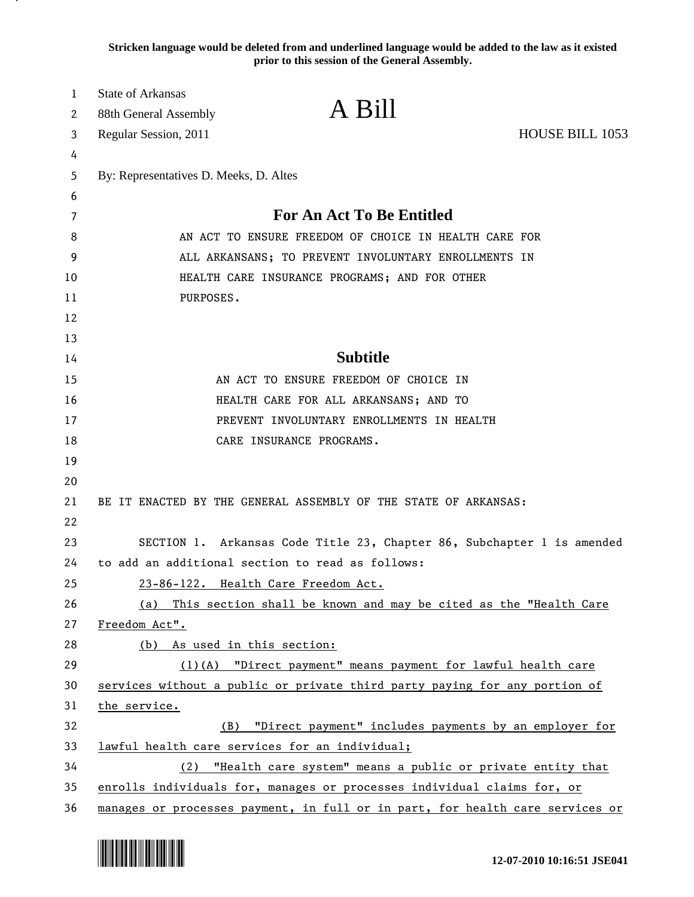**Stricken language would be deleted from and underlined language would be added to the law as it existed prior to this session of the General Assembly.**

| $\mathbf{1}$ | <b>State of Arkansas</b>                              | A Bill                                                                        |                 |
|--------------|-------------------------------------------------------|-------------------------------------------------------------------------------|-----------------|
| 2            | 88th General Assembly                                 |                                                                               |                 |
| 3            | Regular Session, 2011                                 |                                                                               | HOUSE BILL 1053 |
| 4            |                                                       |                                                                               |                 |
| 5            | By: Representatives D. Meeks, D. Altes                |                                                                               |                 |
| 6            |                                                       | <b>For An Act To Be Entitled</b>                                              |                 |
| 7            |                                                       |                                                                               |                 |
| 8            | AN ACT TO ENSURE FREEDOM OF CHOICE IN HEALTH CARE FOR |                                                                               |                 |
| 9            | ALL ARKANSANS; TO PREVENT INVOLUNTARY ENROLLMENTS IN  |                                                                               |                 |
| 10           | HEALTH CARE INSURANCE PROGRAMS; AND FOR OTHER         |                                                                               |                 |
| 11           | PURPOSES.                                             |                                                                               |                 |
| 12           |                                                       |                                                                               |                 |
| 13           |                                                       | <b>Subtitle</b>                                                               |                 |
| 14           |                                                       |                                                                               |                 |
| 15           |                                                       | AN ACT TO ENSURE FREEDOM OF CHOICE IN                                         |                 |
| 16           |                                                       | HEALTH CARE FOR ALL ARKANSANS; AND TO                                         |                 |
| 17           |                                                       | PREVENT INVOLUNTARY ENROLLMENTS IN HEALTH                                     |                 |
| 18           |                                                       | CARE INSURANCE PROGRAMS.                                                      |                 |
| 19           |                                                       |                                                                               |                 |
| 20           |                                                       |                                                                               |                 |
| 21           |                                                       | BE IT ENACTED BY THE GENERAL ASSEMBLY OF THE STATE OF ARKANSAS:               |                 |
| 22           |                                                       |                                                                               |                 |
| 23           |                                                       | SECTION 1. Arkansas Code Title 23, Chapter 86, Subchapter 1 is amended        |                 |
| 24           |                                                       | to add an additional section to read as follows:                              |                 |
| 25           |                                                       | 23-86-122. Health Care Freedom Act.                                           |                 |
| 26<br>27     |                                                       | (a) This section shall be known and may be cited as the "Health Care          |                 |
| 28           | Freedom Act".<br>(b) As used in this section:         |                                                                               |                 |
| 29           |                                                       | (1)(A) "Direct payment" means payment for lawful health care                  |                 |
| 30           |                                                       | services without a public or private third party paying for any portion of    |                 |
| 31           | the service.                                          |                                                                               |                 |
| 32           | (B)                                                   | "Direct payment" includes payments by an employer for                         |                 |
| 33           | lawful health care services for an individual;        |                                                                               |                 |
| 34           |                                                       | (2) "Health care system" means a public or private entity that                |                 |
| 35           |                                                       | enrolls individuals for, manages or processes individual claims for, or       |                 |
| 36           |                                                       | manages or processes payment, in full or in part, for health care services or |                 |